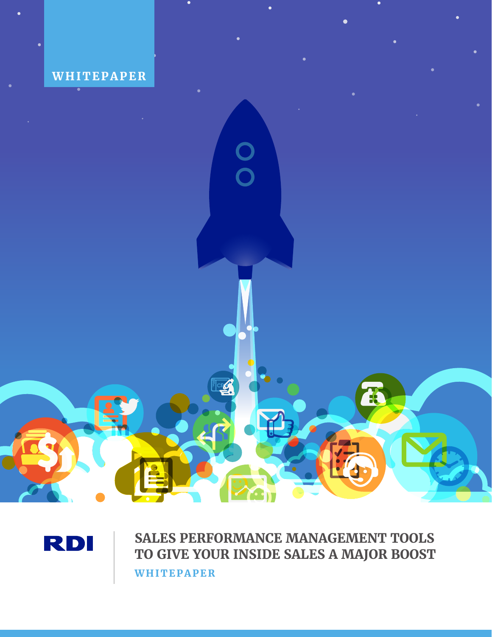



**SALES PERFORMANCE MANAGEMENT TOOLS TO GIVE YOUR INSIDE SALES A MAJOR BOOST WHITEPAPER**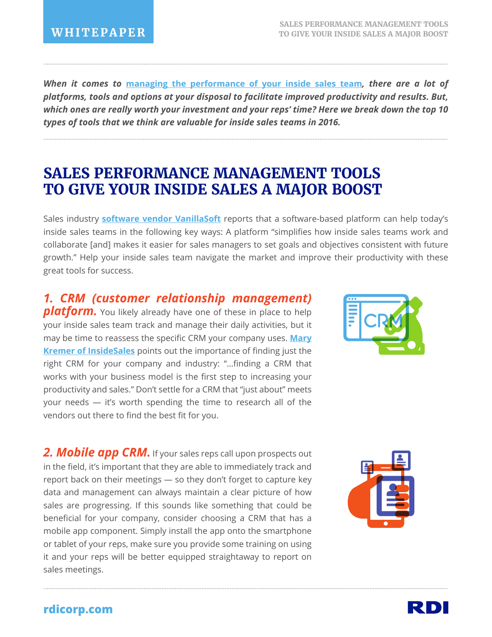*When it comes to* **[managing the performance of your inside sales team](http://blog.rdi-connect.com/the-intersection-of-your-sales-performance-and-the-customer-experience)***, there are a lot of platforms, tools and options at your disposal to facilitate improved productivity and results. But, which ones are really worth your investment and your reps' time? Here we break down the top 10 types of tools that we think are valuable for inside sales teams in 2016.*

...................................................................................................................................................................................................................................................

...................................................................................................................................................................................................................................................

# **SALES PERFORMANCE MANAGEMENT TOOLS TO GIVE YOUR INSIDE SALES A MAJOR BOOST**

Sales industry **[software vendor VanillaSoft](http://www.vanillasoft.com/resources/white-papers/essential-productivity-tools-for-inside-sales-teams)** reports that a software-based platform can help today's inside sales teams in the following key ways: A platform "simplifies how inside sales teams work and collaborate [and] makes it easier for sales managers to set goals and objectives consistent with future growth." Help your inside sales team navigate the market and improve their productivity with these great tools for success.

...................................................................................................................................................................................................................................................

*1. CRM (customer relationship management)*  **platform.** You likely already have one of these in place to help your inside sales team track and manage their daily activities, but it [may be time to reassess the specific CRM your company uses.](http://www.insidesales.com/insider/inside-sales-best-practices/6-sales-tools-to-increase-productivity/) **Mary Kremer of InsideSales** points out the importance of finding just the right CRM for your company and industry: "…finding a CRM that works with your business model is the first step to increasing your productivity and sales." Don't settle for a CRM that "just about" meets your needs — it's worth spending the time to research all of the vendors out there to find the best fit for you.

2. Mobile app CRM. If your sales reps call upon prospects out in the field, it's important that they are able to immediately track and report back on their meetings — so they don't forget to capture key data and management can always maintain a clear picture of how sales are progressing. If this sounds like something that could be beneficial for your company, consider choosing a CRM that has a mobile app component. Simply install the app onto the smartphone or tablet of your reps, make sure you provide some training on using it and your reps will be better equipped straightaway to report on sales meetings.





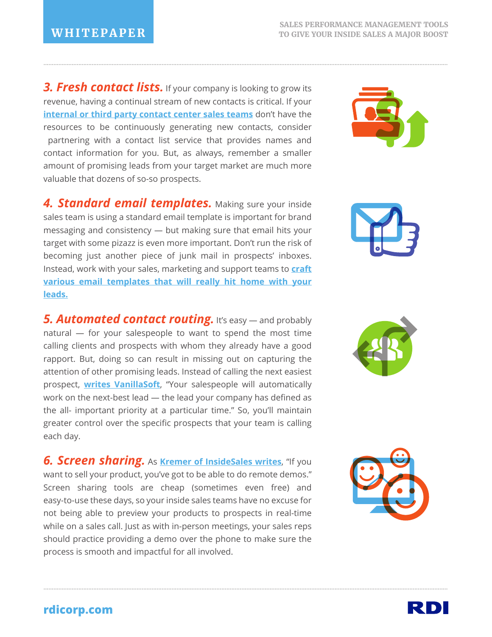**3. Fresh contact lists.** If your company is looking to grow its revenue, having a continual stream of new contacts is critical. If your **[internal or third party contact center sales teams](http://blog.rdi-connect.com/best-practices-for-managing-the-sales-performance-of-contact-centers)** don't have the resources to be continuously generating new contacts, consider partnering with a contact list service that provides names and contact information for you. But, as always, remember a smaller amount of promising leads from your target market are much more valuable that dozens of so-so prospects.

...................................................................................................................................................................................................................................................

**4. Standard email templates.** Making sure your inside sales team is using a standard email template is important for brand messaging and consistency — but making sure that email hits your target with some pizazz is even more important. Don't run the risk of becoming just another piece of junk mail in prospects' inboxes. Instead, work with your sales, marketing and support teams to **craft [various email templates that will really hit home with your](http://blog.rdi-connect.com/how-to-develop-a-sales-follow-up-strategy-thats-effective-and-scalable)  leads.**

**5. Automated contact routing.** It's easy — and probably natural — for your salespeople to want to spend the most time calling clients and prospects with whom they already have a good rapport. But, doing so can result in missing out on capturing the attention of other promising leads. Instead of calling the next easiest prospect, **[writes VanillaSoft](http://www.vanillasoft.com/resources/white-papers/essential-productivity-tools-for-inside-sales-teams)**, "Your salespeople will automatically work on the next-best lead — the lead your company has defined as the all- important priority at a particular time." So, you'll maintain greater control over the specific prospects that your team is calling each day.

**6. Screen sharing.** As **[Kremer of InsideSales writes](http://www.insidesales.com/insider/inside-sales-best-practices/6-sales-tools-to-increase-productivity/)**, "If you want to sell your product, you've got to be able to do remote demos." Screen sharing tools are cheap (sometimes even free) and easy-to-use these days, so your inside sales teams have no excuse for not being able to preview your products to prospects in real-time while on a sales call. Just as with in-person meetings, your sales reps should practice providing a demo over the phone to make sure the process is smooth and impactful for all involved.

...................................................................................................................................................................................................................................................









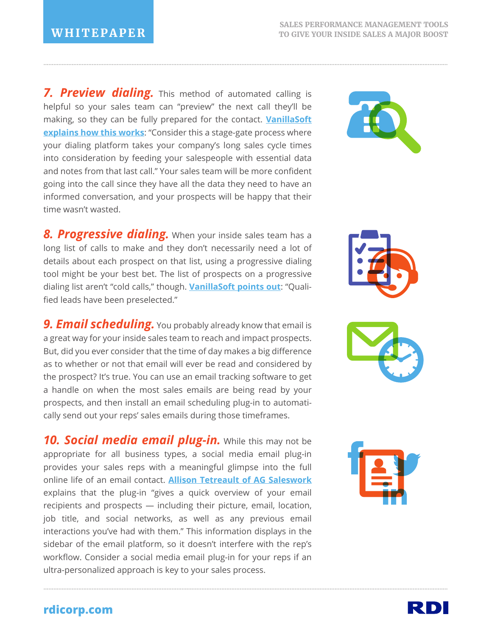7. Preview dialing. This method of automated calling is helpful so your sales team can "preview" the next call they'll be [making, so they can be fully prepared for the contact.](http://www.vanillasoft.com/resources/white-papers/essential-productivity-tools-for-inside-sales-teams) **VanillaSoft explains how this works:** "Consider this a stage-gate process where your dialing platform takes your company's long sales cycle times into consideration by feeding your salespeople with essential data and notes from that last call." Your sales team will be more confident going into the call since they have all the data they need to have an informed conversation, and your prospects will be happy that their time wasn't wasted.

...................................................................................................................................................................................................................................................

**8. Progressive dialing.** When your inside sales team has a long list of calls to make and they don't necessarily need a lot of details about each prospect on that list, using a progressive dialing tool might be your best bet. The list of prospects on a progressive dialing list aren't "cold calls," though. **[VanillaSoft points out](http://www.vanillasoft.com/resources/white-papers/essential-productivity-tools-for-inside-sales-teams)**: "Qualified leads have been preselected."

**9. Email scheduling.** You probably already know that email is a great way for your inside sales team to reach and impact prospects. But, did you ever consider that the time of day makes a big difference as to whether or not that email will ever be read and considered by the prospect? It's true. You can use an email tracking software to get a handle on when the most sales emails are being read by your prospects, and then install an email scheduling plug-in to automatically send out your reps' sales emails during those timeframes.

*10. Social media email plug-in.* While this may not be appropriate for all business types, a social media email plug-in provides your sales reps with a meaningful glimpse into the full online life of an email contact. **[Allison Tetreault of AG Saleswork](http://www.agsalesworks.com/Blog-Sales-Prospecting-Perspectives/bid/107999/6-Email-Prospecting-Tools-Every-Inside-Sales-Rep-Should-Be-Using)** explains that the plug-in "gives a quick overview of your email recipients and prospects — including their picture, email, location, job title, and social networks, as well as any previous email interactions you've had with them." This information displays in the sidebar of the email platform, so it doesn't interfere with the rep's workflow. Consider a social media email plug-in for your reps if an ultra-personalized approach is key to your sales process.

...................................................................................................................................................................................................................................................









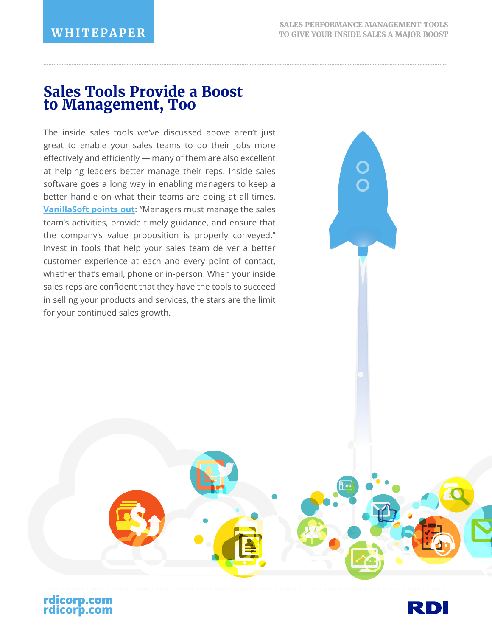## **Sales Tools Provide a Boost to Management, Too**

The inside sales tools we've discussed above aren't just great to enable your sales teams to do their jobs more effectively and efficiently — many of them are also excellent at helping leaders better manage their reps. Inside sales software goes a long way in enabling managers to keep a better handle on what their teams are doing at all times, **[VanillaSoft points out](http://www.vanillasoft.com/resources/white-papers/essential-productivity-tools-for-inside-sales-teams)**: "Managers must manage the sales team's activities, provide timely guidance, and ensure that the company's value proposition is properly conveyed." Invest in tools that help your sales team deliver a better customer experience at each and every point of contact, whether that's email, phone or in-person. When your inside sales reps are confident that they have the tools to succeed in selling your products and services, the stars are the limit for your continued sales growth.



**rdicorp.com**

**rdicorp.com**

...................................................................................................................................................................................................................................................

...................................................................................................................................................................................................................................................